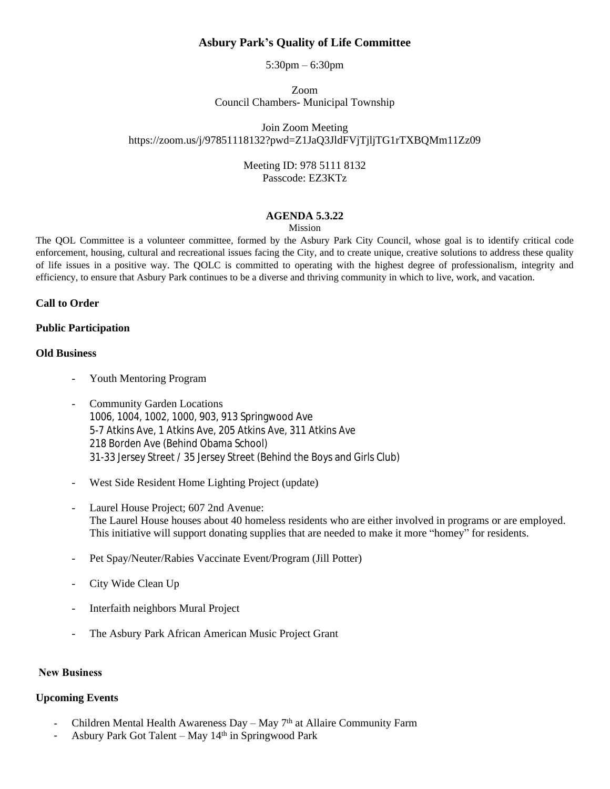## **Asbury Park's Quality of Life Committee**

5:30pm – 6:30pm

Zoom Council Chambers- Municipal Township

Join Zoom Meeting https://zoom.us/j/97851118132?pwd=Z1JaQ3JldFVjTjljTG1rTXBQMm11Zz09

> Meeting ID: 978 5111 8132 Passcode: EZ3KTz

### **AGENDA 5.3.22**

Mission

The QOL Committee is a volunteer committee, formed by the Asbury Park City Council, whose goal is to identify critical code enforcement, housing, cultural and recreational issues facing the City, and to create unique, creative solutions to address these quality of life issues in a positive way. The QOLC is committed to operating with the highest degree of professionalism, integrity and efficiency, to ensure that Asbury Park continues to be a diverse and thriving community in which to live, work, and vacation.

#### **Call to Order**

#### **Public Participation**

#### **Old Business**

- Youth Mentoring Program
- Community Garden Locations 1006, 1004, 1002, 1000, 903, 913 Springwood Ave 5-7 Atkins Ave, 1 Atkins Ave, 205 Atkins Ave, 311 Atkins Ave 218 Borden Ave (Behind Obama School) 31-33 Jersey Street / 35 Jersey Street (Behind the Boys and Girls Club)
- West Side Resident Home Lighting Project (update)
- Laurel House Project; 607 2nd Avenue: The Laurel House houses about 40 homeless residents who are either involved in programs or are employed. This initiative will support donating supplies that are needed to make it more "homey" for residents.
- Pet Spay/Neuter/Rabies Vaccinate Event/Program (Jill Potter)
- City Wide Clean Up
- Interfaith neighbors Mural Project
- The Asbury Park African American Music Project Grant

#### **New Business**

#### **Upcoming Events**

- Children Mental Health Awareness Day May 7th at Allaire Community Farm
- Asbury Park Got Talent May 14th in Springwood Park